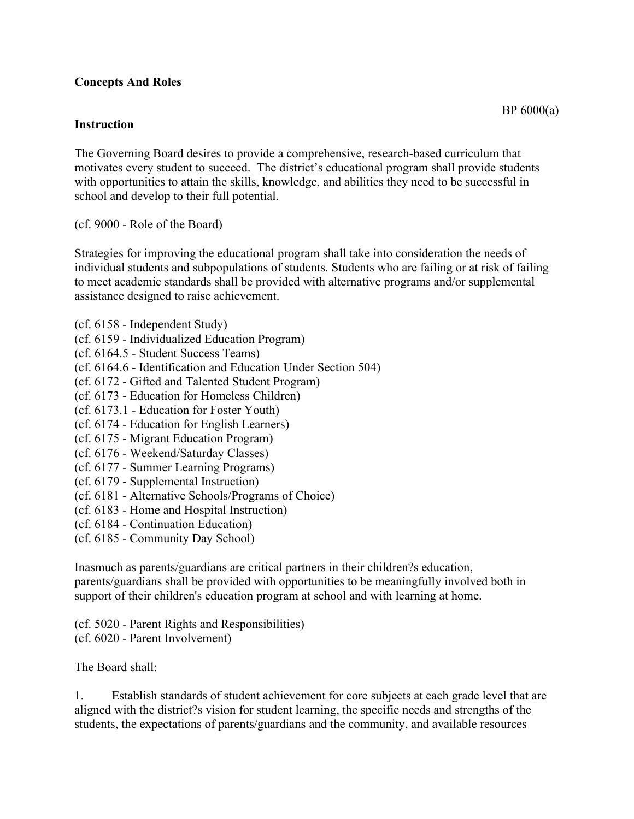## **Concepts And Roles**

## **Instruction**

The Governing Board desires to provide a comprehensive, research-based curriculum that motivates every student to succeed. The district's educational program shall provide students with opportunities to attain the skills, knowledge, and abilities they need to be successful in school and develop to their full potential.

(cf. 9000 - Role of the Board)

Strategies for improving the educational program shall take into consideration the needs of individual students and subpopulations of students. Students who are failing or at risk of failing to meet academic standards shall be provided with alternative programs and/or supplemental assistance designed to raise achievement.

- (cf. 6158 Independent Study)
- (cf. 6159 Individualized Education Program)
- (cf. 6164.5 Student Success Teams)
- (cf. 6164.6 Identification and Education Under Section 504)
- (cf. 6172 Gifted and Talented Student Program)
- (cf. 6173 Education for Homeless Children)
- (cf. 6173.1 Education for Foster Youth)
- (cf. 6174 Education for English Learners)
- (cf. 6175 Migrant Education Program)
- (cf. 6176 Weekend/Saturday Classes)
- (cf. 6177 Summer Learning Programs)
- (cf. 6179 Supplemental Instruction)
- (cf. 6181 Alternative Schools/Programs of Choice)
- (cf. 6183 Home and Hospital Instruction)
- (cf. 6184 Continuation Education)
- (cf. 6185 Community Day School)

Inasmuch as parents/guardians are critical partners in their children?s education, parents/guardians shall be provided with opportunities to be meaningfully involved both in support of their children's education program at school and with learning at home.

(cf. 5020 - Parent Rights and Responsibilities) (cf. 6020 - Parent Involvement)

The Board shall:

1. Establish standards of student achievement for core subjects at each grade level that are aligned with the district?s vision for student learning, the specific needs and strengths of the students, the expectations of parents/guardians and the community, and available resources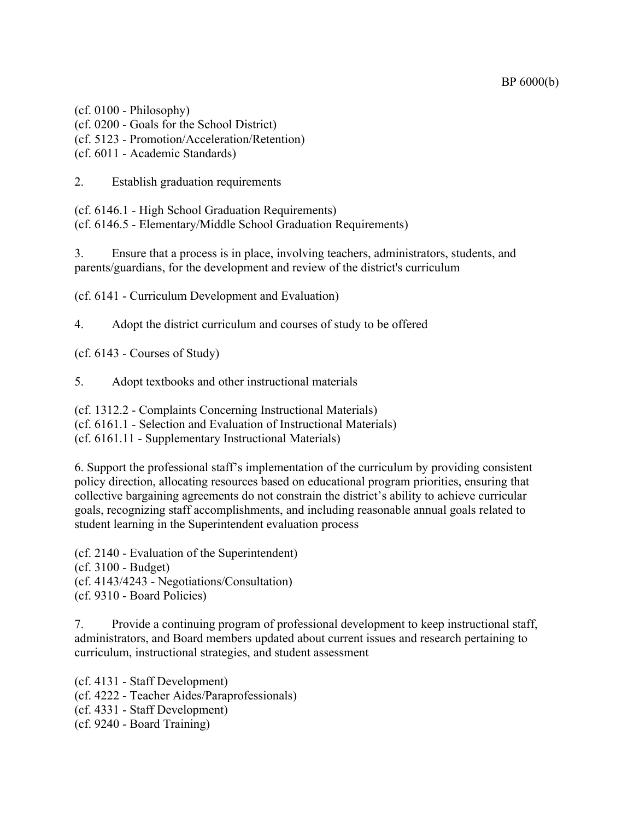BP 6000(b)

(cf. 0100 - Philosophy) (cf. 0200 - Goals for the School District) (cf. 5123 - Promotion/Acceleration/Retention) (cf. 6011 - Academic Standards)

2. Establish graduation requirements

(cf. 6146.1 - High School Graduation Requirements) (cf. 6146.5 - Elementary/Middle School Graduation Requirements)

3. Ensure that a process is in place, involving teachers, administrators, students, and parents/guardians, for the development and review of the district's curriculum

(cf. 6141 - Curriculum Development and Evaluation)

4. Adopt the district curriculum and courses of study to be offered

(cf. 6143 - Courses of Study)

5. Adopt textbooks and other instructional materials

(cf. 1312.2 - Complaints Concerning Instructional Materials)

(cf. 6161.1 - Selection and Evaluation of Instructional Materials)

(cf. 6161.11 - Supplementary Instructional Materials)

6. Support the professional staff's implementation of the curriculum by providing consistent policy direction, allocating resources based on educational program priorities, ensuring that collective bargaining agreements do not constrain the district's ability to achieve curricular goals, recognizing staff accomplishments, and including reasonable annual goals related to student learning in the Superintendent evaluation process

(cf. 2140 - Evaluation of the Superintendent) (cf. 3100 - Budget) (cf. 4143/4243 - Negotiations/Consultation) (cf. 9310 - Board Policies)

7. Provide a continuing program of professional development to keep instructional staff, administrators, and Board members updated about current issues and research pertaining to curriculum, instructional strategies, and student assessment

(cf. 4131 - Staff Development) (cf. 4222 - Teacher Aides/Paraprofessionals) (cf. 4331 - Staff Development) (cf. 9240 - Board Training)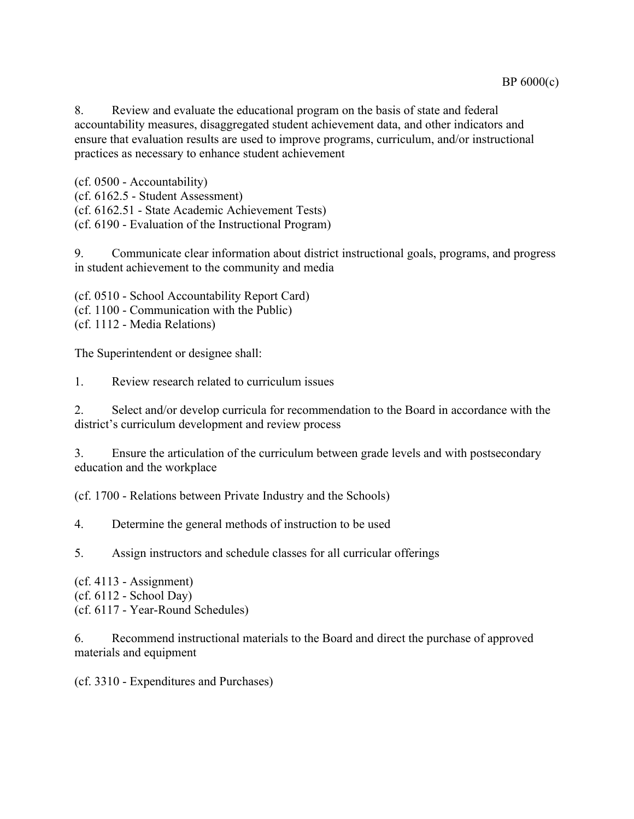8. Review and evaluate the educational program on the basis of state and federal accountability measures, disaggregated student achievement data, and other indicators and ensure that evaluation results are used to improve programs, curriculum, and/or instructional practices as necessary to enhance student achievement

(cf. 0500 - Accountability) (cf. 6162.5 - Student Assessment) (cf. 6162.51 - State Academic Achievement Tests) (cf. 6190 - Evaluation of the Instructional Program)

9. Communicate clear information about district instructional goals, programs, and progress in student achievement to the community and media

(cf. 0510 - School Accountability Report Card) (cf. 1100 - Communication with the Public) (cf. 1112 - Media Relations)

The Superintendent or designee shall:

1. Review research related to curriculum issues

2. Select and/or develop curricula for recommendation to the Board in accordance with the district's curriculum development and review process

3. Ensure the articulation of the curriculum between grade levels and with postsecondary education and the workplace

(cf. 1700 - Relations between Private Industry and the Schools)

4. Determine the general methods of instruction to be used

5. Assign instructors and schedule classes for all curricular offerings

 $(cf. 4113 - Assignment)$ 

(cf. 6112 - School Day)

(cf. 6117 - Year-Round Schedules)

6. Recommend instructional materials to the Board and direct the purchase of approved materials and equipment

(cf. 3310 - Expenditures and Purchases)